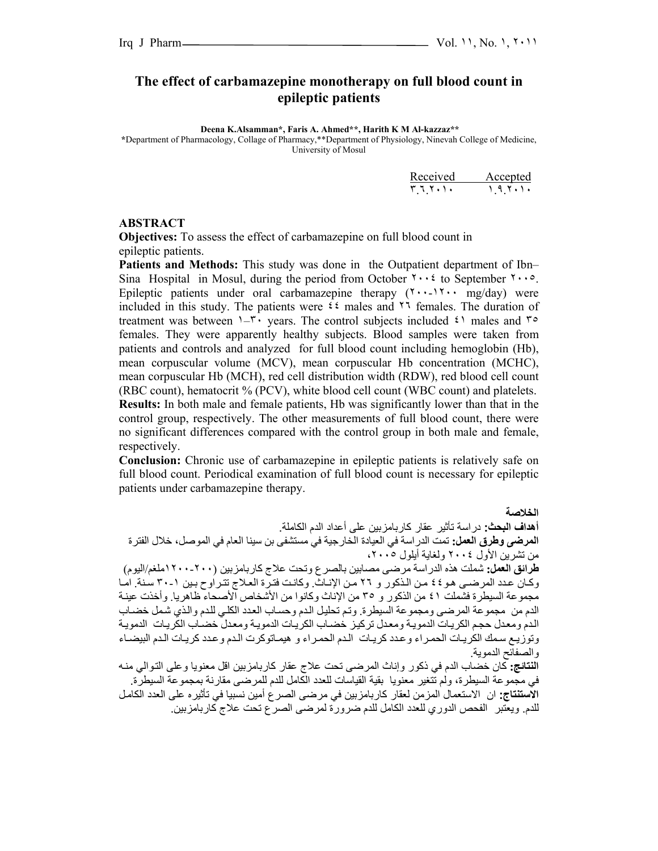## **The effect of carbamazepine monotherapy on full blood count in epileptic patients**

 **Deena K.Alsamman\*, Faris A. Ahmed\*\*, Harith K M Al-kazzaz\*\***

**\***Department of Pharmacology, Collage of Pharmacy,\*\*Department of Physiology, Ninevah College of Medicine, University of Mosul

|        | Received Accepted |
|--------|-------------------|
| ۲٦٢٠١٠ | $\bigcup$         |

#### **ABSTRACT**

**Objectives:** To assess the effect of carbamazepine on full blood count in epileptic patients.

**Patients and Methods:** This study was done in the Outpatient department of Ibn– Sina Hospital in Mosul, during the period from October  $\gamma \cdot \gamma$  to September  $\gamma \cdot \gamma$ . Epileptic patients under oral carbamazepine therapy  $(7 \cdots 17 \cdots mg/day)$  were included in this study. The patients were  $\mathfrak{t} \mathfrak{t}$  males and  $\mathfrak{t} \mathfrak{t}$  females. The duration of treatment was between  $1-\tau$  years. The control subjects included  $\zeta$  males and  $\tau$ females. They were apparently healthy subjects. Blood samples were taken from patients and controls and analyzed for full blood count including hemoglobin (Hb), mean corpuscular volume (MCV), mean corpuscular Hb concentration (MCHC), mean corpuscular Hb (MCH), red cell distribution width (RDW), red blood cell count (RBC count), hematocrit % (PCV), white blood cell count (WBC count) and platelets. **Results:** In both male and female patients, Hb was significantly lower than that in the control group, respectively. The other measurements of full blood count, there were no significant differences compared with the control group in both male and female, respectively.

**Conclusion:** Chronic use of carbamazepine in epileptic patients is relatively safe on full blood count. Periodical examination of full blood count is necessary for epileptic patients under carbamazepine therapy.

**الخلاصة أهداف البحث:** دراسة تأثير عقار آاربامزبين على أعداد الدم الكاملة. **المرضى وطرق العمل:** تمت الدراسة في العيادة الخارجية في مستشفى بن سينا العام في الموصل، خلال الفترة من تشرين الأول ٢٠٠٤ ولغاية أيلول ،٢٠٠٥ **طرائق العمل:** شملت هذه الدراسة مرضى مصابين بالصرع وتحت علاج آاربامزبين (١٢٠٠-٢٠٠ملغم/اليوم) وكان عدد المرضى هو ٤٤ من الذكور و ٢٦ من الإنـاث. وكانت فترة العلاج تتراوح بين ١-٣٠ سنة. امـا مجموعة السيطرة فشملت ٤١ من الذكور و ٣٥ من الإناث وكانوا من الأشخاص آلأصحاء ظاهريا. وأخذت عينـة الدم من مجموعة المرضى ومجموعة السيطرة. وتم تحليل الدم وحساب العدد الكلي للدم والذي شمل خضباب الدم ومعدل حجم الكريات الدموية ومعدل تركيز خضاب الكريات الدموية ومعدل خضاب الكريات الدموية وتوزيع سمك الكريات الحمراء وعدد كريات الدم الحمراء و هيماتوكرت الدم وعدد كريات الدم البيضاء والصفائح الدموية. ا**لنتائج:** كان خضاب الدم في ذكور وإناث المرضىي تحت علاج عقار كاربامزبين اقل معنويا وعلى التوالي منـه في مجموعة السيطرة، ولم تتغير معنويا بقية القياسات للعدد الكامل للدم للمرضى مقارنة بمجموعة السيطرة. **الاستنتاج:** ان الاستعمال المزمن لعقار آاربامزبين في مرضى الصرع أمين نسبيا في تأثيره على العدد الكامѧل للدم. ويعتبر الفحص الدوري للعدد الكامل للدم ضرورة لمرضى الصرع تحت علاج آاربامزبين.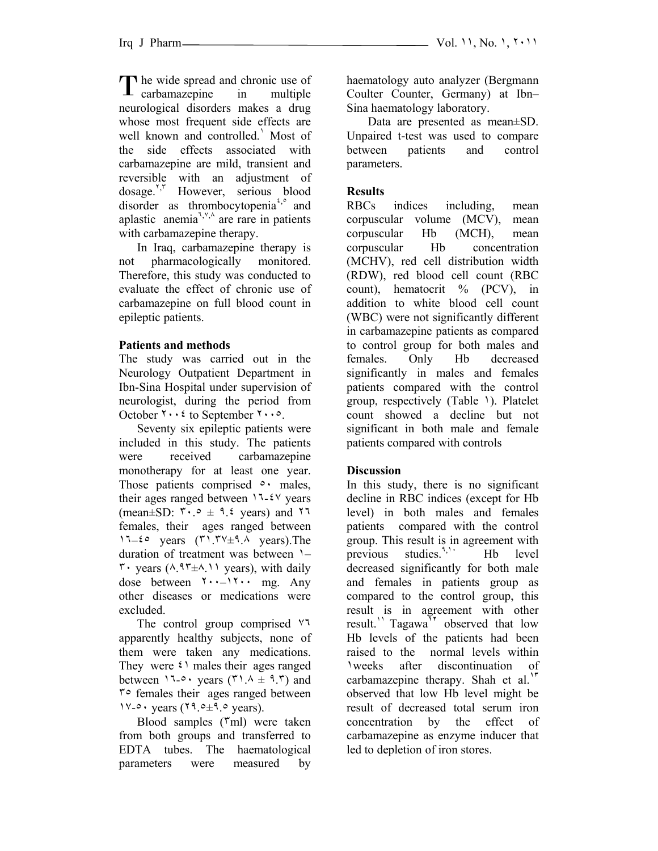The wide spread and chronic use of The wide spread and chronic use of<br>
carbamazepine in multiple neurological disorders makes a drug whose most frequent side effects are well known and controlled.' Most of the side effects associated with carbamazepine are mild, transient and reversible with an adjustment of dosage.<sup>Y, T</sup> However, serious blood disorder as thrombocytopenia<sup>2,8</sup> and aplastic anemia<sup> $7,9,4$ </sup> are rare in patients with carbamazepine therapy.

 In Iraq, carbamazepine therapy is not pharmacologically monitored. Therefore, this study was conducted to evaluate the effect of chronic use of carbamazepine on full blood count in epileptic patients.

## **Patients and methods**

The study was carried out in the Neurology Outpatient Department in Ibn-Sina Hospital under supervision of neurologist, during the period from October ٢٠٠٤ to September ٢٠٠٥.

 Seventy six epileptic patients were included in this study. The patients were received carbamazepine monotherapy for at least one year. Those patients comprised  $\circ$  males, their ages ranged between  $17-24$  years (mean $\pm$ SD:  $\sqrt{1} \cdot 9 \pm 9$ . 2 years) and  $\sqrt{1}$ females, their ages ranged between  $17-6$  years  $(71.7\frac{v}{\pm 9.1})$  years). The duration of treatment was between ١–  $\mathbf{r}$  years ( $\mathbf{A}$ ,  $\mathbf{A}$ ,  $\mathbf{r}$  +  $\mathbf{A}$ ,  $\mathbf{A}$ ) years), with daily dose between ٢٠٠–١٢٠٠ mg. Any other diseases or medications were excluded.

 The control group comprised ٧٦ apparently healthy subjects, none of them were taken any medications. They were  $\mathfrak{t}$  males their ages ranged between  $17-0$  years  $(71.4 \pm 9.7)$  and ٣٥ females their ages ranged between  $1 \vee \circ \cdot \text{ years}$  ( $1 \circ \circ \pm 1 \circ \text{ years}$ ).

Blood samples ( $\text{m}$ ) were taken from both groups and transferred to EDTA tubes. The haematological parameters were measured by haematology auto analyzer (Bergmann Coulter Counter, Germany) at Ibn– Sina haematology laboratory.

 Data are presented as mean±SD. Unpaired t-test was used to compare between patients and control parameters.

# **Results**

RBCs indices including, mean corpuscular volume (MCV), mean corpuscular Hb (MCH), mean corpuscular Hb concentration (MCHV), red cell distribution width (RDW), red blood cell count (RBC count), hematocrit % (PCV), in addition to white blood cell count (WBC) were not significantly different in carbamazepine patients as compared to control group for both males and females. Only Hb decreased significantly in males and females patients compared with the control group, respectively (Table ١). Platelet count showed a decline but not significant in both male and female patients compared with controls

## **Discussion**

In this study, there is no significant decline in RBC indices (except for Hb level) in both males and females patients compared with the control group. This result is in agreement with previous studies.<sup>9,11</sup> Hb level decreased significantly for both male and females in patients group as compared to the control group, this result is in agreement with other result.<sup>11</sup> Tagawa<sup>1</sup> observed that low Hb levels of the patients had been raised to the normal levels within ١weeks after discontinuation of carbamazepine therapy. Shah et al.**<sup>١٣</sup>** observed that low Hb level might be result of decreased total serum iron concentration by the effect of carbamazepine as enzyme inducer that led to depletion of iron stores.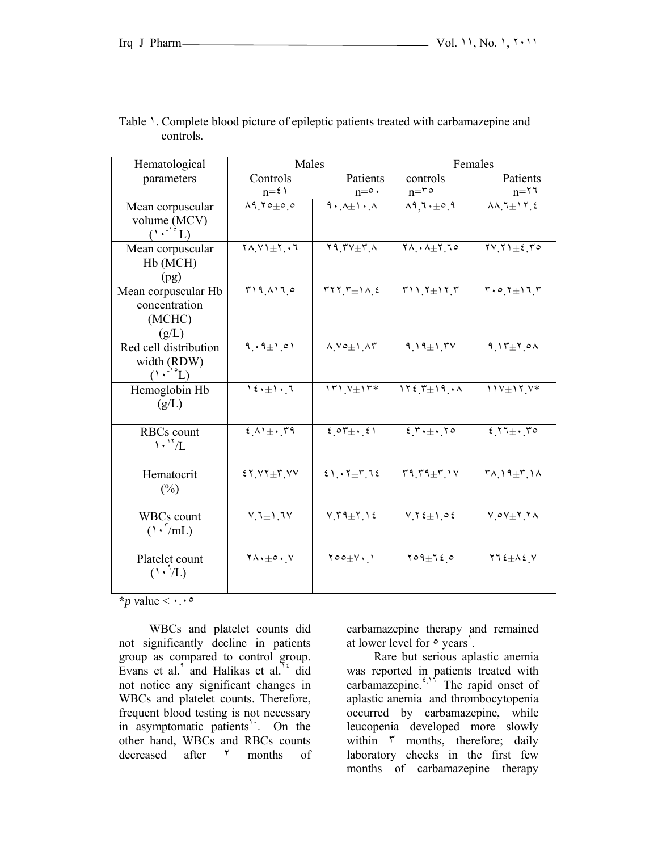| Hematological                            | Males                                                              |                                              | Females                                                            |                                                                                      |
|------------------------------------------|--------------------------------------------------------------------|----------------------------------------------|--------------------------------------------------------------------|--------------------------------------------------------------------------------------|
| parameters                               | Controls                                                           | Patients                                     | controls                                                           | Patients                                                                             |
|                                          | $n = \xi$                                                          | $n = 0$ .                                    | $n = r \circ$                                                      | $n = \tau$                                                                           |
| Mean corpuscular                         | $\Lambda$ 970 $\pm$ 00                                             | $9.4+1.4$                                    |                                                                    | $\lambda\lambda$ $1\pm1$ $1$ $2$                                                     |
| volume (MCV)                             |                                                                    |                                              |                                                                    |                                                                                      |
| $(1 \cdot \cdot \cdot \cdot L)$          |                                                                    |                                              |                                                                    |                                                                                      |
| Mean corpuscular                         | $\mathbf{Y} \wedge \mathbf{Y}$ $\mathbf{Y} \rightarrow \mathbf{Y}$ | $Y$ 9 $YY+Y$                                 | $\mathbf{Y} \wedge \cdot \wedge \pm \mathbf{Y}$ $\mathbf{Z} \circ$ | $\overline{YV}$ $Y$ $\pm i$ $\overline{Y}$ $\circ$                                   |
| Hb (MCH)                                 |                                                                    |                                              |                                                                    |                                                                                      |
| (pg)                                     |                                                                    |                                              |                                                                    |                                                                                      |
| Mean corpuscular Hb                      | $T19$ $A170$                                                       | $rrT$ $T+1$ $\wedge$ $t$                     | $T117 + T177$                                                      | $\mathbf{Y} \cdot \circ \mathbf{Y} \pm \mathbf{1} \cdot \mathbf{X} \cdot \mathbf{Y}$ |
| concentration                            |                                                                    |                                              |                                                                    |                                                                                      |
| (MCHC)                                   |                                                                    |                                              |                                                                    |                                                                                      |
| (g/L)                                    |                                                                    |                                              |                                                                    |                                                                                      |
| Red cell distribution                    | $9.9 \pm 1.01$                                                     | $\Lambda V \circ \pm 1 \overline{\Lambda T}$ | $9.19 \pm 1.7$                                                     | $9.15 \pm 7.04$                                                                      |
| width (RDW)                              |                                                                    |                                              |                                                                    |                                                                                      |
| $(1 \cdot \cdot \cdot^{\circ} L)$        |                                                                    |                                              |                                                                    |                                                                                      |
| Hemoglobin Hb                            | 15.11                                                              | $171 V \pm 17*$                              | $1127 + 19.1$                                                      | $11V \pm 17V$ *                                                                      |
| (g/L)                                    |                                                                    |                                              |                                                                    |                                                                                      |
|                                          |                                                                    |                                              |                                                                    |                                                                                      |
| RBCs count                               | $2\Lambda$ 1+ $\Lambda$                                            | $207 + 21$                                   | 5.7.1                                                              | $5.77 + .70$                                                                         |
| $\cdot$ <sup><math>\cdot</math></sup> /L |                                                                    |                                              |                                                                    |                                                                                      |
|                                          | $57.57 \pm 7.50$                                                   | $51.7 + 7 + 7.72$                            | $59.79 + 7.1$                                                      | $\mathsf{r}_{\Lambda}$ $\mathsf{1}_{\pm}$ $\mathsf{r}_{\Lambda}$                     |
| Hematocrit                               |                                                                    |                                              |                                                                    |                                                                                      |
| (%)                                      |                                                                    |                                              |                                                                    |                                                                                      |
| <b>WBCs</b> count                        | $V1+V$                                                             | Y T 1 E                                      | $V Y \xi \pm 1 0 \xi$                                              | $V_0V_{\pm}Y_1A$                                                                     |
| $(\lambda \cdot \sqrt[r]{mL})$           |                                                                    |                                              |                                                                    |                                                                                      |
|                                          |                                                                    |                                              |                                                                    |                                                                                      |
| Platelet count                           | $\mathbf{Y} \wedge \cdot \pm \circ \cdot \cdot \vee$               | $Y \circ o \pm V \cdot V$                    | $709 \pm 720$                                                      | $Y1\xi + \Lambda \xi$ V                                                              |
| $(1 \cdot \sqrt[4]{L})$                  |                                                                    |                                              |                                                                    |                                                                                      |
|                                          |                                                                    |                                              |                                                                    |                                                                                      |

Table 1. Complete blood picture of epileptic patients treated with carbamazepine and controls.

**\****p v*alue < ٠.٠٥

 WBCs and platelet counts did not significantly decline in patients group as compared to control group. Evans et al. $\int$  and Halikas et al.<sup>14</sup> did not notice any significant changes in WBCs and platelet counts. Therefore, frequent blood testing is not necessary in asymptomatic patients<sup>1</sup>. On the other hand, WBCs and RBCs counts decreased after <sup>γ</sup> months of carbamazepine therapy and remained at lower level for  $\circ$  years'.

 Rare but serious aplastic anemia was reported in patients treated with carbamazepine.<sup>4,17</sup> The rapid onset of aplastic anemia and thrombocytopenia occurred by carbamazepine, while leucopenia developed more slowly within  $\bar{r}$  months, therefore; daily laboratory checks in the first few months of carbamazepine therapy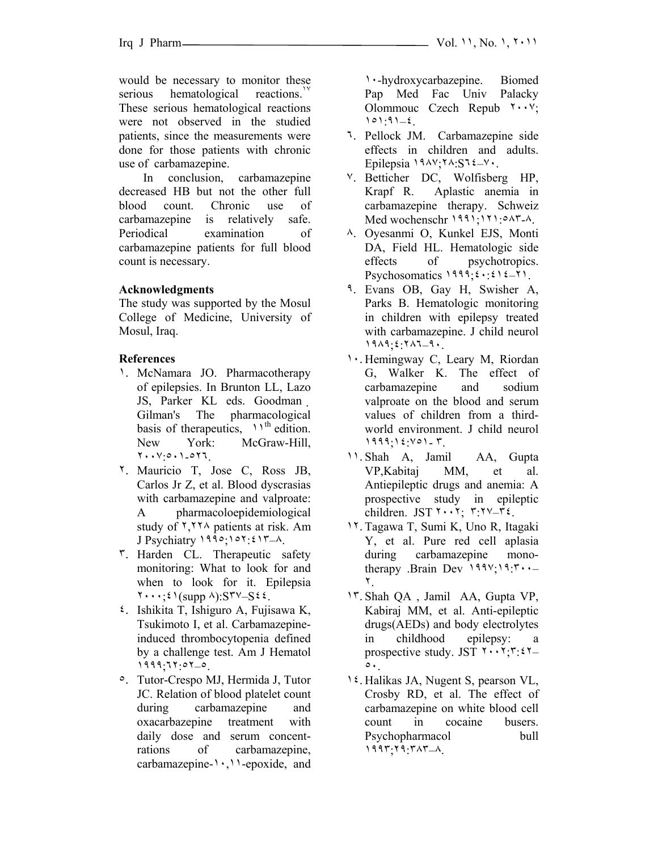would be necessary to monitor these serious hematological reactions.<sup>1</sup> These serious hematological reactions were not observed in the studied patients, since the measurements were done for those patients with chronic use of carbamazepine.

 In conclusion, carbamazepine decreased HB but not the other full blood count. Chronic use of carbamazepine is relatively safe. Periodical examination of carbamazepine patients for full blood count is necessary.

### **Acknowledgments**

The study was supported by the Mosul College of Medicine, University of Mosul, Iraq.

### **References**

- ١. McNamara JO. Pharmacotherapy of epilepsies. In Brunton LL, Lazo JS, Parker KL eds. Goodman Gilman's The pharmacological basis of therapeutics,  $11^{th}$  edition. New York: McGraw-Hill, ٢٠٠٧:٥٠١-٥٢٦.
- ٢. Mauricio T, Jose C, Ross JB, Carlos Jr Z, et al. Blood dyscrasias with carbamazepine and valproate: A pharmacoloepidemiological study of ٢,٢٢٨ patients at risk. Am J Psychiatry ١٩٩٥;١٥٢:٤١٣–٨.
- ٣. Harden CL. Therapeutic safety monitoring: What to look for and when to look for it. Epilepsia  $\mathbf{Y} \cdot \cdot \cdot$ ;  $\mathbf{Y}$  (supp  $\wedge$ ):  $\mathbf{S} \mathbf{Y} \sim \mathbf{S} \mathbf{Z}$ .
- ٤. Ishikita T, Ishiguro A, Fujisawa K, Tsukimoto I, et al. Carbamazepineinduced thrombocytopenia defined by a challenge test. Am J Hematol ١٩٩٩;٦٢:٥٢–٥.
- ٥. Tutor-Crespo MJ, Hermida J, Tutor JC. Relation of blood platelet count during carbamazepine and oxacarbazepine treatment with daily dose and serum concentrations of carbamazepine, carbamazepine-١٠,١١-epoxide, and

١٠-hydroxycarbazepine. Biomed Pap Med Fac Univ Palacky Olommouc Czech Repub ٢٠٠٧; ١٥١:٩١–٤.

- ٦. Pellock JM. Carbamazepine side effects in children and adults. Epilepsia ١٩٨٧;٢٨:S٦٤–٧٠.
- ٧. Betticher DC, Wolfisberg HP, Krapf R. Aplastic anemia in carbamazepine therapy. Schweiz Med wochenschr ١٩٩١;١٢١:٥٨٣-٨.
- ٨. Oyesanmi O, Kunkel EJS, Monti DA, Field HL. Hematologic side effects of psychotropics. Psychosomatics ١٩٩٩;٤٠:٤١٤–٢١.
- ٩. Evans OB, Gay H, Swisher A, Parks B. Hematologic monitoring in children with epilepsy treated with carbamazepine. J child neurol ١٩٨٩;٤:٢٨٦–٩٠.
- ١٠. Hemingway C, Leary M, Riordan G, Walker K. The effect of carbamazepine and sodium valproate on the blood and serum values of children from a thirdworld environment. J child neurol ١٩٩٩;١٤:٧٥١- ٣.
- ١١. Shah A, Jamil AA, Gupta VP,Kabitaj MM, et al. Antiepileptic drugs and anemia: A prospective study in epileptic children. JST  $Y \cdot Y$ : ٣:٢٧-٣٤.
- ١٢. Tagawa T, Sumi K, Uno R, Itagaki Y, et al. Pure red cell aplasia during carbamazepine monotherapy .Brain Dev ١٩٩٧;١٩:٣٠٠– ٢.
- ١٣. Shah QA , Jamil AA, Gupta VP, Kabiraj MM, et al. Anti-epileptic drugs(AEDs) and body electrolytes in childhood epilepsy: a prospective study. JST  $\mathbf{Y} \cdot \mathbf{Y} \cdot \mathbf{Y} =$ ٥٠.
- ١٤. Halikas JA, Nugent S, pearson VL, Crosby RD, et al. The effect of carbamazepine on white blood cell count in cocaine busers. Psychopharmacol bull ١٩٩٣;٢٩:٣٨٣–٨.